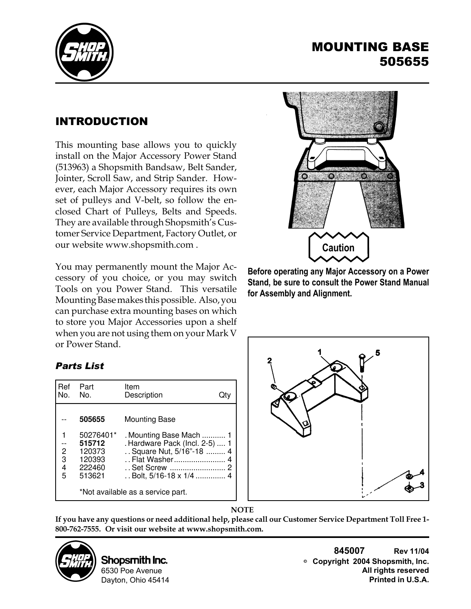

## MOUNTING BASE 505655

## INTRODUCTION

This mounting base allows you to quickly install on the Major Accessory Power Stand (513963) a Shopsmith Bandsaw, Belt Sander, Jointer, Scroll Saw, and Strip Sander. However, each Major Accessory requires its own set of pulleys and V-belt, so follow the enclosed Chart of Pulleys, Belts and Speeds. They are available through Shopsmith's Customer Service Department, Factory Outlet, or our website www.shopsmith.com .

You may permanently mount the Major Accessory of you choice, or you may switch Tools on you Power Stand. This versatile Mounting Base makes this possible. Also, you can purchase extra mounting bases on which to store you Major Accessories upon a shelf when you are not using them on your Mark V or Power Stand.

## *Parts List*

| Ref<br>No.                    | Part<br>No.                                                 | Item<br>Description                                                                                                                          | Jt۱ |  |  |  |
|-------------------------------|-------------------------------------------------------------|----------------------------------------------------------------------------------------------------------------------------------------------|-----|--|--|--|
|                               | 505655                                                      | <b>Mounting Base</b>                                                                                                                         |     |  |  |  |
| $\overline{c}$<br>3<br>4<br>5 | 50276401*<br>515712<br>120373<br>120393<br>222460<br>513621 | Mounting Base Mach  1<br>. Hardware Pack (Incl. 2-5)  1<br>Square Nut, 5/16"-18  4<br>Flat Washer<br>Set Screw<br>. . Bolt, 5/16-18 x 1/4  4 |     |  |  |  |
|                               | *Not available as a service part.                           |                                                                                                                                              |     |  |  |  |



**Before operating any Major Accessory on a Power Stand, be sure to consult the Power Stand Manual for Assembly and Alignment.**





**If you have any questions or need additional help, please call our Customer Service Department Toll Free 1- 800-762-7555. Or visit our website at www.shopsmith.com.**



**Shopsmith Inc.** 6530 Poe Avenue Dayton, Ohio 45414

**845007 Rev 11/04 Copyright 2004 Shopsmith, Inc. All rights reserved Printed in U.S.A.**